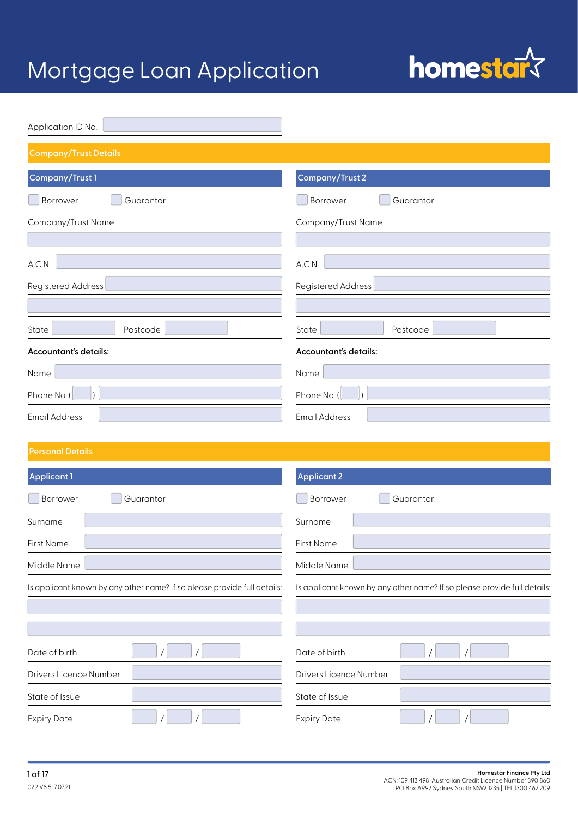

| Application ID No.           |                           |
|------------------------------|---------------------------|
| <b>Company/Trust Details</b> |                           |
| Company/Trust 1              | <b>Company/Trust 2</b>    |
| Guarantor<br>Borrower        | Borrower<br>Guarantor     |
| Company/Trust Name           | Company/Trust Name        |
| A.C.N.                       | A.C.N.                    |
| Registered Address           | <b>Registered Address</b> |
| State<br>Postcode            | State<br>Postcode         |
| Accountant's details:        | Accountant's details:     |
| Name                         | Name                      |
| Phone No. (                  | Phone No. (               |
| <b>Email Address</b>         | <b>Email Address</b>      |

| <b>Applicant 1</b>                                                       | <b>Applicant 2</b>                                                       |
|--------------------------------------------------------------------------|--------------------------------------------------------------------------|
| Guarantor<br>Borrower                                                    | Guarantor<br>Borrower                                                    |
| Surname                                                                  | Surname                                                                  |
| <b>First Name</b>                                                        | <b>First Name</b>                                                        |
| Middle Name                                                              | Middle Name                                                              |
| Is applicant known by any other name? If so please provide full details: | Is applicant known by any other name? If so please provide full details: |
|                                                                          |                                                                          |
|                                                                          |                                                                          |
| Date of birth                                                            | Date of birth                                                            |
| Drivers Licence Number                                                   | Drivers Licence Number                                                   |
| State of Issue                                                           | State of Issue                                                           |
| <b>Expiry Date</b>                                                       | <b>Expiry Date</b>                                                       |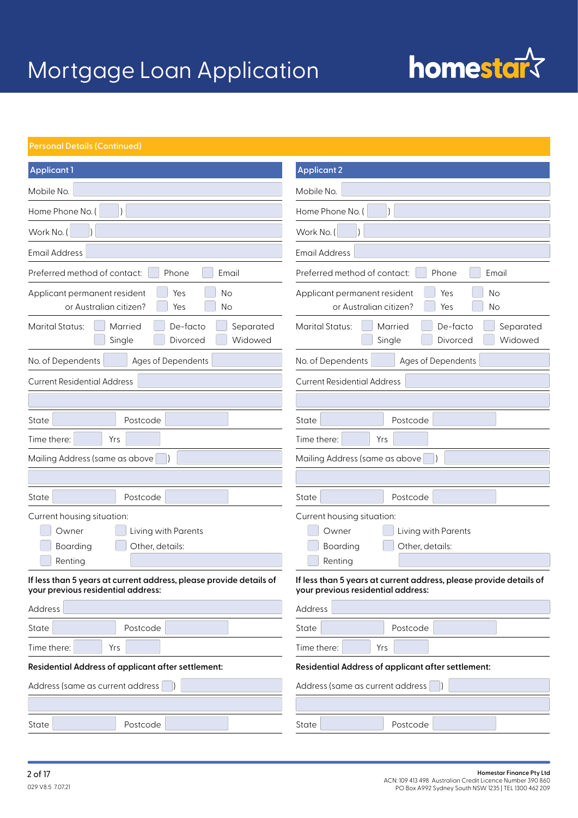# homestar<sup>{</sup>

| Applicant 1                                                                                              | <b>Applicant 2</b>                                                                                       |  |
|----------------------------------------------------------------------------------------------------------|----------------------------------------------------------------------------------------------------------|--|
| Mobile No.                                                                                               | Mobile No.                                                                                               |  |
| Home Phone No. (                                                                                         | Home Phone No. (                                                                                         |  |
| Work No. (                                                                                               | Work No. (                                                                                               |  |
| <b>Email Address</b>                                                                                     | <b>Email Address</b>                                                                                     |  |
| Preferred method of contact:<br>Phone<br>Email                                                           | Preferred method of contact:<br>Phone<br>Email                                                           |  |
| No<br>Applicant permanent resident<br>Yes<br>or Australian citizen?<br>Yes<br>No                         | Yes<br>Applicant permanent resident<br>No<br>or Australian citizen?<br>Yes<br>No                         |  |
| <b>Marital Status:</b><br>De-facto<br>Separated<br>Married<br>Single<br>Widowed<br>Divorced              | <b>Marital Status:</b><br>De-facto<br>Separated<br><b>Married</b><br>Single<br>Divorced<br>Widowed       |  |
| No. of Dependents<br>Ages of Dependents                                                                  | No. of Dependents<br>Ages of Dependents                                                                  |  |
| <b>Current Residential Address</b>                                                                       | <b>Current Residential Address</b>                                                                       |  |
|                                                                                                          |                                                                                                          |  |
| Postcode<br>State                                                                                        | State<br>Postcode                                                                                        |  |
| Time there:<br>Yrs                                                                                       | Time there:<br>Yrs                                                                                       |  |
| Mailing Address (same as above)                                                                          | Mailing Address (same as above                                                                           |  |
|                                                                                                          |                                                                                                          |  |
| Postcode<br>State                                                                                        | Postcode<br>State                                                                                        |  |
| Current housing situation:<br>Living with Parents<br>Owner<br>Boarding<br>Other, details:<br>Renting     | Current housing situation:<br>Living with Parents<br>Owner<br>Boarding<br>Other, details:<br>Renting     |  |
| If less than 5 years at current address, please provide details of<br>your previous residential address: | If less than 5 years at current address, please provide details of<br>your previous residential address: |  |
| Address                                                                                                  | Address                                                                                                  |  |
| State<br>Postcode                                                                                        | State<br>Postcode                                                                                        |  |
| Time there:<br>Yrs                                                                                       | Time there:<br>Yrs                                                                                       |  |
| Residential Address of applicant after settlement:<br>Residential Address of applicant after settlement: |                                                                                                          |  |
| Address (same as current address                                                                         | Address (same as current address)                                                                        |  |
|                                                                                                          |                                                                                                          |  |
| State<br>Postcode                                                                                        | Postcode<br>State                                                                                        |  |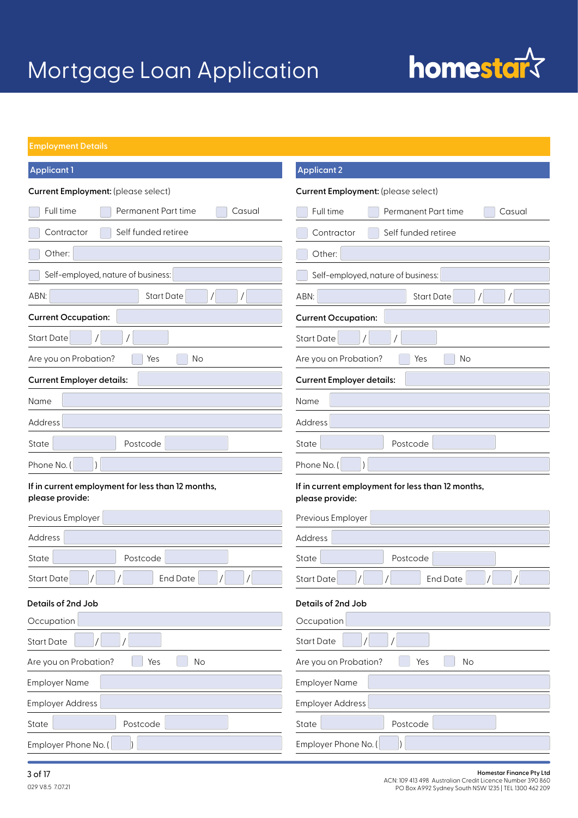## homestar<sup>s</sup>

### **Employment Details**

| <b>Applicant 1</b>                                                   | <b>Applicant 2</b>                                                   |
|----------------------------------------------------------------------|----------------------------------------------------------------------|
| Current Employment: (please select)                                  | Current Employment: (please select)                                  |
| Full time<br>Permanent Part time<br>Casual                           | Full time<br>Permanent Part time<br>Casual                           |
| Self funded retiree<br>Contractor                                    | Self funded retiree<br>Contractor                                    |
| Other:                                                               | Other:                                                               |
| Self-employed, nature of business:                                   | Self-employed, nature of business:                                   |
| <b>Start Date</b><br>ABN:                                            | ABN:<br><b>Start Date</b><br>$\sqrt{2}$                              |
| <b>Current Occupation:</b>                                           | <b>Current Occupation:</b>                                           |
| <b>Start Date</b>                                                    | <b>Start Date</b>                                                    |
| Are you on Probation?<br>No<br>Yes                                   | Are you on Probation?<br>Yes<br>No                                   |
| <b>Current Employer details:</b>                                     | <b>Current Employer details:</b>                                     |
| Name                                                                 | Name                                                                 |
| Address                                                              | Address                                                              |
| Postcode<br>State                                                    | State<br>Postcode                                                    |
| Phone No. (                                                          | Phone No. (                                                          |
| If in current employment for less than 12 months,<br>please provide: | If in current employment for less than 12 months,<br>please provide: |
| Previous Employer                                                    | Previous Employer                                                    |
| Address                                                              | Address                                                              |
| Postcode<br>State                                                    | State<br>Postcode                                                    |
| <b>End Date</b><br><b>Start Date</b>                                 | <b>Start Date</b><br><b>End Date</b>                                 |
| Details of 2nd Job                                                   | Details of 2nd Job                                                   |
| Occupation                                                           | Occupation                                                           |
| <b>Start Date</b>                                                    | <b>Start Date</b>                                                    |
| Are you on Probation?<br>Yes<br>No                                   | Are you on Probation?<br>Yes<br>No                                   |
| <b>Employer Name</b>                                                 | <b>Employer Name</b>                                                 |
| <b>Employer Address</b>                                              | <b>Employer Address</b>                                              |
| Postcode<br>State                                                    | State<br>Postcode                                                    |
| Employer Phone No. (                                                 | Employer Phone No. (                                                 |

#### **3 of 17 Homestar Finance Pty Ltd**<br>ACN: 109 413 498 Australian Credit Licence Number 390 860 PO Box A992 Sydney South NSW 1235 | TEL 1300 462 209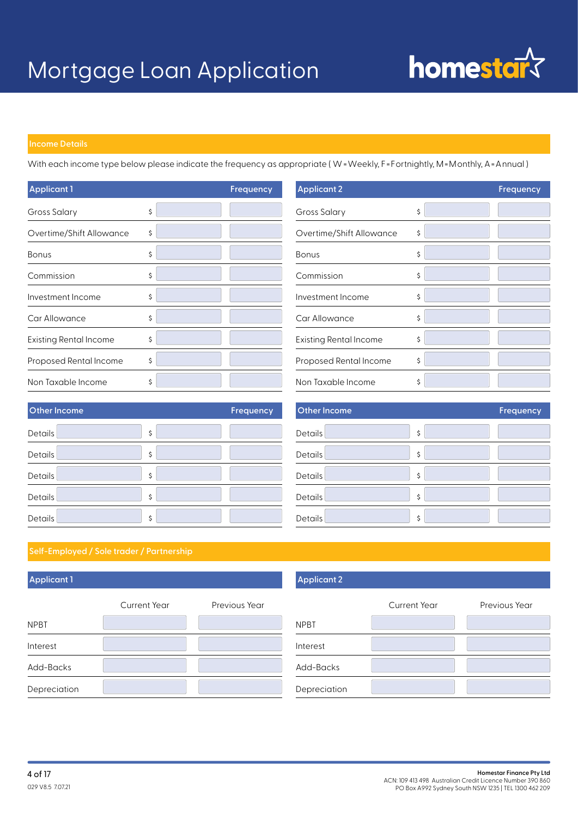

With each income type below please indicate the frequency as appropriate ( W =Weekly, F=Fortnightly, M=Monthly, A=Annual )

| <b>Applicant 1</b>            | Frequency |
|-------------------------------|-----------|
| Gross Salary                  | \$        |
| Overtime/Shift Allowance      | \$        |
| <b>Bonus</b>                  | \$        |
| Commission                    | \$        |
| Investment Income             | \$        |
| Car Allowance                 | \$        |
| <b>Existing Rental Income</b> | \$        |
| Proposed Rental Income        | \$        |
| Non Taxable Income            | \$        |

| <b>Applicant 2</b>            | Frequency |
|-------------------------------|-----------|
| Gross Salary                  | \$        |
| Overtime/Shift Allowance      | \$        |
| <b>Bonus</b>                  | \$        |
| Commission                    | \$        |
| Investment Income             | \$        |
| Car Allowance                 | \$        |
| <b>Existing Rental Income</b> | \$        |
| Proposed Rental Income        | \$        |
| Non Taxable Income            | \$        |

| Other Income | <b>Frequency</b> |
|--------------|------------------|
| Details      | \$               |
| Details      | \$               |
| Details      | \$               |
| Details      | \$               |
| Details      | \$               |

| <b>Other Income</b> | Frequency |
|---------------------|-----------|
| Details             | \$        |
| Details             | \$        |
| Details             | \$        |
| Details             | \$        |
| Details             | \$        |

### **Applicant 1**

|              | Current Year | Previous Year |
|--------------|--------------|---------------|
| <b>NPBT</b>  |              |               |
| Interest     |              |               |
| Add-Backs    |              |               |
| Depreciation |              |               |

### **Applicant 2**

|              | Current Year | Previous Year |
|--------------|--------------|---------------|
| <b>NPBT</b>  |              |               |
| Interest     |              |               |
| Add-Backs    |              |               |
| Depreciation |              |               |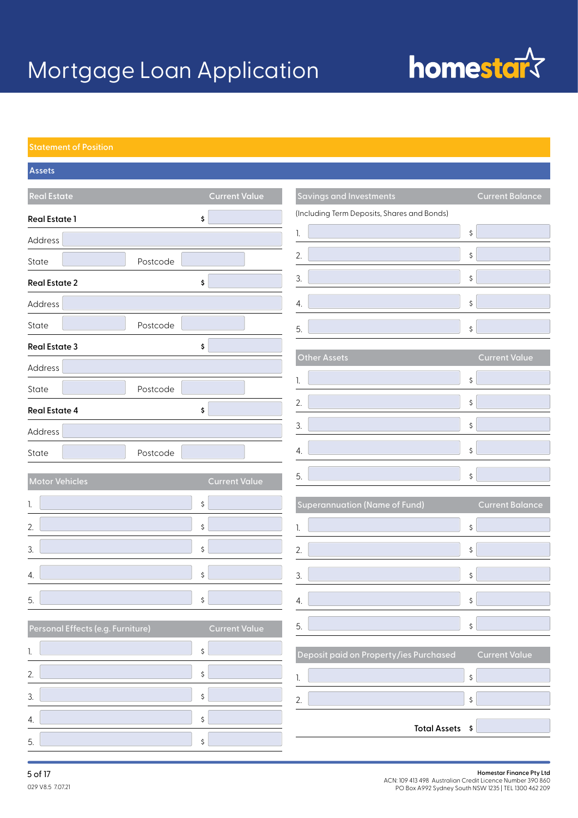## homestar<sup>s</sup>

| <b>Assets</b>                     |                      |                                             |                        |
|-----------------------------------|----------------------|---------------------------------------------|------------------------|
| <b>Real Estate</b>                | <b>Current Value</b> | <b>Savings and Investments</b>              | <b>Current Balance</b> |
| <b>Real Estate 1</b><br>\$        |                      | (Including Term Deposits, Shares and Bonds) |                        |
| Address                           |                      |                                             | \$                     |
| State<br>Postcode                 |                      | 2.                                          | \$                     |
| <b>Real Estate 2</b><br>\$        |                      | 3.                                          | \$                     |
| Address                           |                      | 4.                                          | \$                     |
| Postcode<br>State                 |                      | 5.                                          | \$                     |
| <b>Real Estate 3</b><br>\$        |                      |                                             |                        |
| Address                           |                      | Other Assets                                | <b>Current Value</b>   |
| Postcode<br>State                 |                      |                                             | \$                     |
| <b>Real Estate 4</b><br>\$        |                      | 2.                                          | \$                     |
| Address                           |                      | 3.                                          | \$                     |
| State<br>Postcode                 |                      | 4.                                          | \$                     |
| Motor Vehicles                    | <b>Current Value</b> | 5.                                          | \$                     |
| \$<br>1.                          |                      | <b>Superannuation (Name of Fund)</b>        | <b>Current Balance</b> |
| \$<br>2.                          |                      |                                             | \$                     |
| \$<br>3.                          |                      | 2.                                          | \$                     |
| \$<br>4.                          |                      | 3.                                          | \$                     |
| 5.<br>\$                          |                      | 4                                           | \$                     |
| Personal Effects (e.g. Furniture) | <b>Current Value</b> | 5.                                          | \$                     |
| \$                                |                      | Deposit paid on Property/ies Purchased      | <b>Current Value</b>   |
| 2.<br>\$                          |                      |                                             | \$                     |
| 3.<br>\$                          |                      | 2.                                          | \$                     |
| \$<br>4.                          |                      |                                             |                        |
| 5.<br>\$                          |                      | Total Assets \$                             |                        |

### **5 of 17 Homestar Finance Pty Ltd**<br>ACN: 109 413 498 Australian Credit Licence Number 390 860 PO Box A992 Sydney South NSW 1235 | TEL 1300 462 209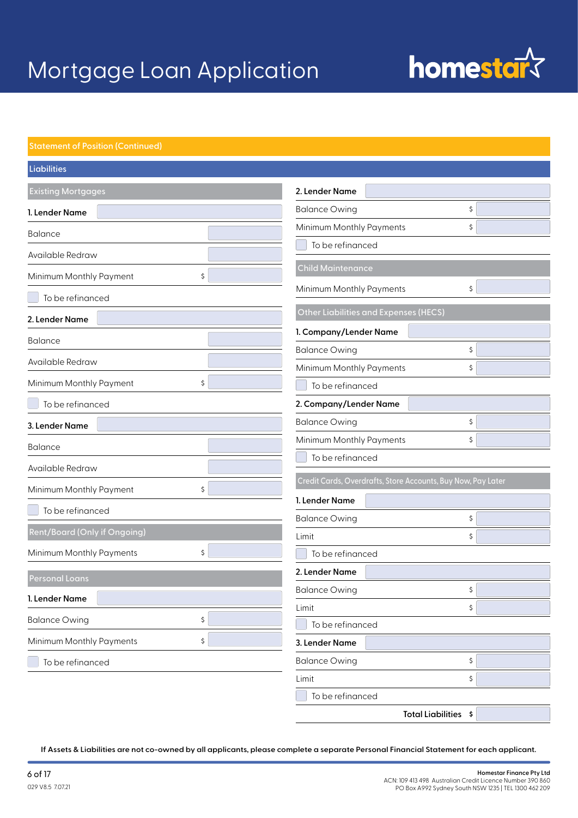# homestar<sup>s</sup>

| Liabilities                         |                                                              |    |
|-------------------------------------|--------------------------------------------------------------|----|
| <b>Existing Mortgages</b>           | 2. Lender Name                                               |    |
| 1. Lender Name                      | <b>Balance Owing</b>                                         | \$ |
| <b>Balance</b>                      | Minimum Monthly Payments                                     | \$ |
| Available Redraw                    | To be refinanced                                             |    |
| Minimum Monthly Payment<br>\$       | <b>Child Maintenance</b>                                     |    |
|                                     | Minimum Monthly Payments                                     | \$ |
| To be refinanced                    | <b>Other Liabilities and Expenses (HECS)</b>                 |    |
| 2. Lender Name                      | 1. Company/Lender Name                                       |    |
| <b>Balance</b>                      | <b>Balance Owing</b>                                         | \$ |
| Available Redraw                    | Minimum Monthly Payments                                     | \$ |
| Minimum Monthly Payment<br>\$       | To be refinanced                                             |    |
| To be refinanced                    | 2. Company/Lender Name                                       |    |
| 3. Lender Name                      | <b>Balance Owing</b>                                         | \$ |
| <b>Balance</b>                      | Minimum Monthly Payments                                     | \$ |
| Available Redraw                    | To be refinanced                                             |    |
| Minimum Monthly Payment<br>\$       | Credit Cards, Overdrafts, Store Accounts, Buy Now, Pay Later |    |
|                                     | 1. Lender Name                                               |    |
| To be refinanced                    | <b>Balance Owing</b>                                         | \$ |
| <b>Rent/Board (Only if Ongoing)</b> | Limit                                                        | \$ |
| Minimum Monthly Payments<br>\$      | To be refinanced                                             |    |
| <b>Personal Loans</b>               | 2. Lender Name                                               |    |
| 1. Lender Name                      | <b>Balance Owing</b>                                         | \$ |
| \$                                  | Limit                                                        | \$ |
| <b>Balance Owing</b>                | To be refinanced                                             |    |
| Minimum Monthly Payments<br>\$      | 3. Lender Name                                               |    |
| To be refinanced                    | <b>Balance Owing</b>                                         | \$ |
|                                     | Limit                                                        | \$ |
|                                     | To be refinanced                                             |    |
|                                     | Total Liabilities \$                                         |    |

**If Assets & Liabilities are not co-owned by all applicants, please complete a separate Personal Financial Statement for each applicant.**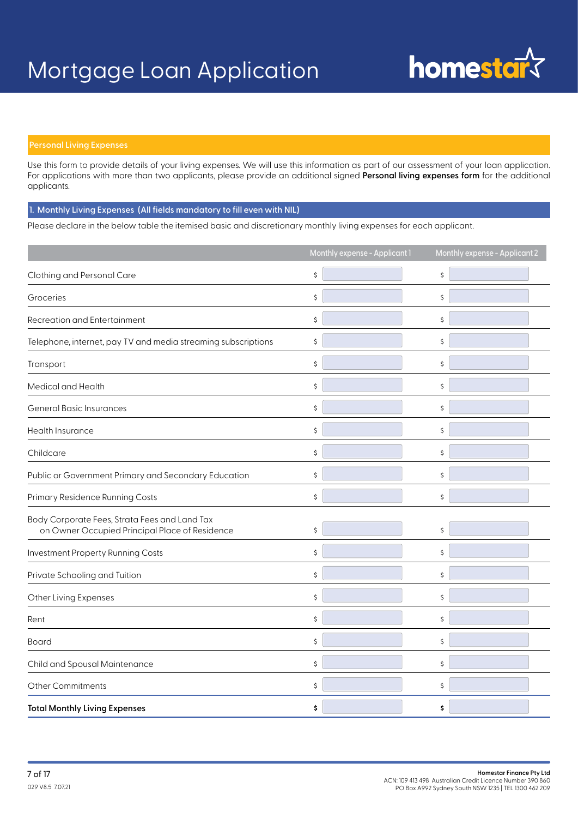

### **Personal Living Expenses**

Use this form to provide details of your living expenses. We will use this information as part of our assessment of your loan application. For applications with more than two applicants, please provide an additional signed **Personal living expenses form** for the additional applicants.

 **1. Monthly Living Expenses (All fields mandatory to fill even with NIL)**

Please declare in the below table the itemised basic and discretionary monthly living expenses for each applicant.

|                                                                                                 | Monthly expense - Applicant 1 | Monthly expense - Applicant 2 |
|-------------------------------------------------------------------------------------------------|-------------------------------|-------------------------------|
| Clothing and Personal Care                                                                      | \$                            | \$                            |
| Groceries                                                                                       | \$                            | \$                            |
| <b>Recreation and Entertainment</b>                                                             | \$                            | \$                            |
| Telephone, internet, pay TV and media streaming subscriptions                                   | \$                            | \$                            |
| Transport                                                                                       | \$                            | \$                            |
| Medical and Health                                                                              | \$                            | \$                            |
| <b>General Basic Insurances</b>                                                                 | \$                            | \$                            |
| Health Insurance                                                                                | \$                            | \$                            |
| Childcare                                                                                       | \$                            | \$                            |
| Public or Government Primary and Secondary Education                                            | \$                            | \$                            |
| Primary Residence Running Costs                                                                 | \$                            | \$                            |
| Body Corporate Fees, Strata Fees and Land Tax<br>on Owner Occupied Principal Place of Residence | \$                            | \$                            |
| Investment Property Running Costs                                                               | \$                            | \$                            |
| Private Schooling and Tuition                                                                   | \$                            | \$                            |
| Other Living Expenses                                                                           | \$                            | \$                            |
| Rent                                                                                            | \$                            | \$                            |
| Board                                                                                           | \$                            | \$                            |
| Child and Spousal Maintenance                                                                   | \$                            | \$                            |
| Other Commitments                                                                               | \$                            | \$                            |
| <b>Total Monthly Living Expenses</b>                                                            | \$                            | \$                            |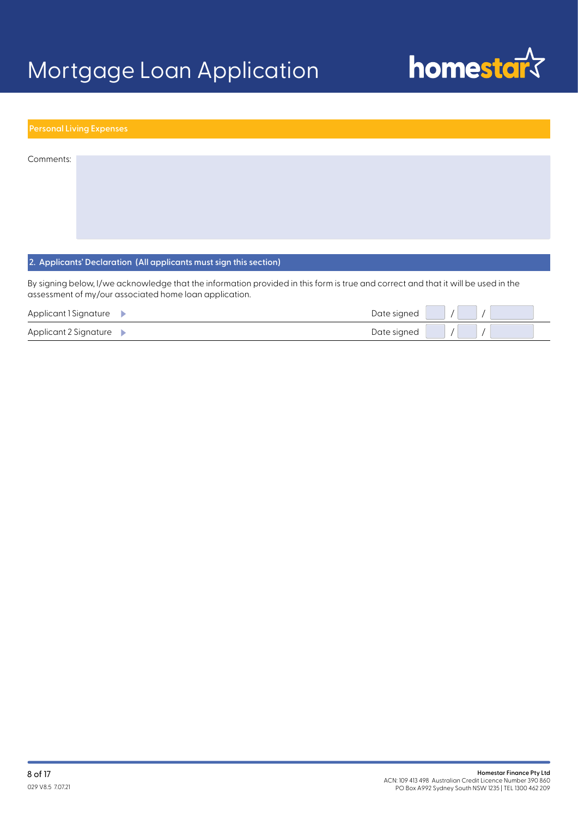

|           | <b>Personal Living Expenses</b> |  |  |  |
|-----------|---------------------------------|--|--|--|
|           |                                 |  |  |  |
| Comments: |                                 |  |  |  |
|           |                                 |  |  |  |
|           |                                 |  |  |  |
|           |                                 |  |  |  |
|           |                                 |  |  |  |

### **2. Applicants' Declaration (All applicants must sign this section)**

By signing below, I/we acknowledge that the information provided in this form is true and correct and that it will be used in the assessment of my/our associated home loan application.

| Applicant I Signature $\blacktriangleright$ | Date signed |  |
|---------------------------------------------|-------------|--|
| Applicant 2 Signature $\blacktriangleright$ | Date signed |  |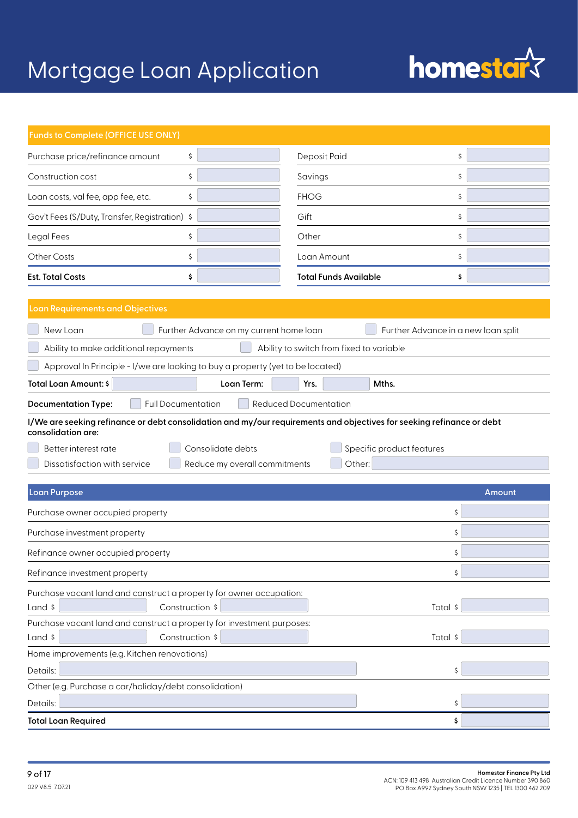# homestar<sup>s</sup>

| Funds to Complete (OFFICE USE ONLY)                                                                                                         |                                          |  |  |
|---------------------------------------------------------------------------------------------------------------------------------------------|------------------------------------------|--|--|
| Purchase price/refinance amount<br>\$                                                                                                       | Deposit Paid<br>\$                       |  |  |
| \$<br>Construction cost                                                                                                                     | \$<br>Savings                            |  |  |
| Loan costs, val fee, app fee, etc.<br>\$                                                                                                    | <b>FHOG</b><br>\$                        |  |  |
| Gov't Fees (S/Duty, Transfer, Registration) \$                                                                                              | Gift<br>\$                               |  |  |
| Legal Fees<br>\$                                                                                                                            | Other<br>\$                              |  |  |
| Other Costs<br>\$                                                                                                                           | \$<br>Loan Amount                        |  |  |
| <b>Est. Total Costs</b><br>\$                                                                                                               | <b>Total Funds Available</b><br>\$       |  |  |
| <b>Loan Requirements and Objectives</b>                                                                                                     |                                          |  |  |
| New Loan<br>Further Advance on my current home loan                                                                                         | Further Advance in a new loan split      |  |  |
| Ability to make additional repayments                                                                                                       | Ability to switch from fixed to variable |  |  |
| Approval In Principle - I/we are looking to buy a property (yet to be located)                                                              |                                          |  |  |
| Total Loan Amount: \$<br>Loan Term:                                                                                                         | Mths.<br>Yrs.                            |  |  |
| <b>Full Documentation</b><br><b>Reduced Documentation</b><br><b>Documentation Type:</b>                                                     |                                          |  |  |
| I/We are seeking refinance or debt consolidation and my/our requirements and objectives for seeking refinance or debt<br>consolidation are: |                                          |  |  |
| Consolidate debts<br>Better interest rate                                                                                                   | Specific product features                |  |  |
| Dissatisfaction with service<br>Reduce my overall commitments                                                                               | Other:                                   |  |  |
|                                                                                                                                             |                                          |  |  |
| Loan Purpose                                                                                                                                | Amount                                   |  |  |
| Purchase owner occupied property                                                                                                            | \$                                       |  |  |
| Purchase investment property                                                                                                                |                                          |  |  |
| Refinance owner occupied property                                                                                                           | \$                                       |  |  |
| Refinance investment property                                                                                                               | \$                                       |  |  |
| Purchase vacant land and construct a property for owner occupation:                                                                         |                                          |  |  |
| Land \$<br>Construction \$<br>Total \$                                                                                                      |                                          |  |  |
| Purchase vacant land and construct a property for investment purposes:<br>Construction \$<br>Land \$                                        | Total \$                                 |  |  |
| Home improvements (e.g. Kitchen renovations)                                                                                                |                                          |  |  |
| Details:                                                                                                                                    |                                          |  |  |
| Other (e.g. Purchase a car/holiday/debt consolidation)                                                                                      |                                          |  |  |
| Details:                                                                                                                                    |                                          |  |  |
| <b>Total Loan Required</b>                                                                                                                  | \$                                       |  |  |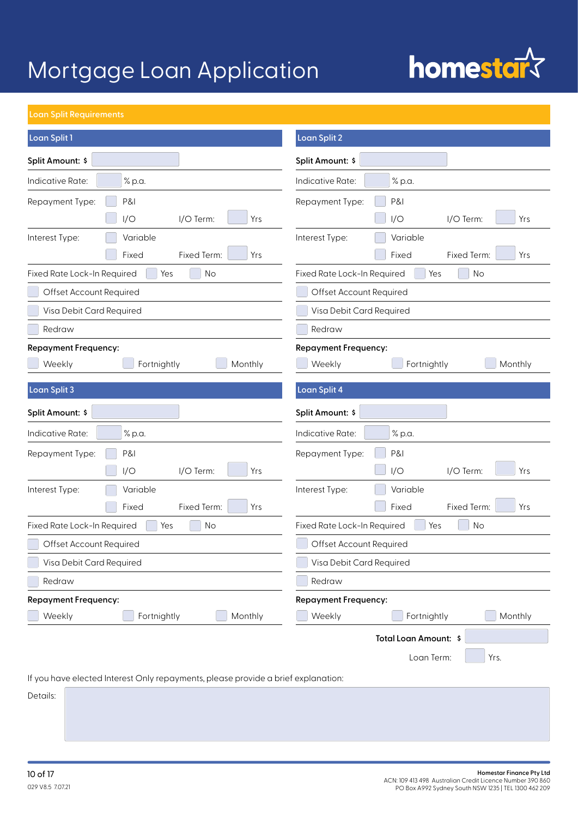# homestar<sup>s</sup>

### **Loan Split Requirements**

| Loan Split 1                                                                      | <b>Loan Split 2</b>                      |
|-----------------------------------------------------------------------------------|------------------------------------------|
| Split Amount: \$                                                                  | Split Amount: \$                         |
| Indicative Rate:<br>% p.a.                                                        | Indicative Rate:<br>% p.a.               |
| <b>P&amp;I</b><br>Repayment Type:                                                 | P&I<br>Repayment Type:                   |
| I/O<br>I/O Term:<br>Yrs                                                           | I/O<br>I/O Term:<br>Yrs                  |
| Interest Type:<br>Variable                                                        | Variable<br>Interest Type:               |
| Fixed Term:<br>Fixed<br>Yrs                                                       | Fixed<br>Fixed Term:<br>Yrs              |
| Fixed Rate Lock-In Required<br>No<br>Yes                                          | Fixed Rate Lock-In Required<br>No<br>Yes |
| Offset Account Required                                                           | Offset Account Required                  |
| Visa Debit Card Required                                                          | Visa Debit Card Required                 |
| Redraw                                                                            | Redraw                                   |
| <b>Repayment Frequency:</b>                                                       | <b>Repayment Frequency:</b>              |
| Fortnightly<br>Monthly<br>Weekly                                                  | Fortnightly<br>Monthly<br>Weekly         |
| Loan Split 3                                                                      | <b>Loan Split 4</b>                      |
| Split Amount: \$                                                                  | Split Amount: \$                         |
| Indicative Rate:<br>% p.a.                                                        | Indicative Rate:<br>% p.a.               |
| Repayment Type:<br>P&I                                                            | P&I<br>Repayment Type:                   |
| I/O<br>I/O Term:<br>Yrs                                                           | I/O<br>I/O Term:<br>Yrs                  |
| Variable<br>Interest Type:                                                        | Variable<br>Interest Type:               |
| Fixed Term:<br>Yrs<br>Fixed                                                       | Fixed<br>Fixed Term:<br>Yrs              |
| Fixed Rate Lock-In Required<br>No<br>Yes                                          | Fixed Rate Lock-In Required<br>No<br>Yes |
| Offset Account Required                                                           | Offset Account Required                  |
| Visa Debit Card Required                                                          | Visa Debit Card Required                 |
| Redraw                                                                            | Redraw                                   |
| <b>Repayment Frequency:</b>                                                       | <b>Repayment Frequency:</b>              |
| Weekly<br>Fortnightly<br>Monthly                                                  | Monthly<br>Weekly<br>Fortnightly         |
|                                                                                   | Total Loan Amount: \$                    |
|                                                                                   | Loan Term:<br>Yrs.                       |
| If you have elected Interest Only repayments, please provide a brief explanation: |                                          |
|                                                                                   |                                          |

Details: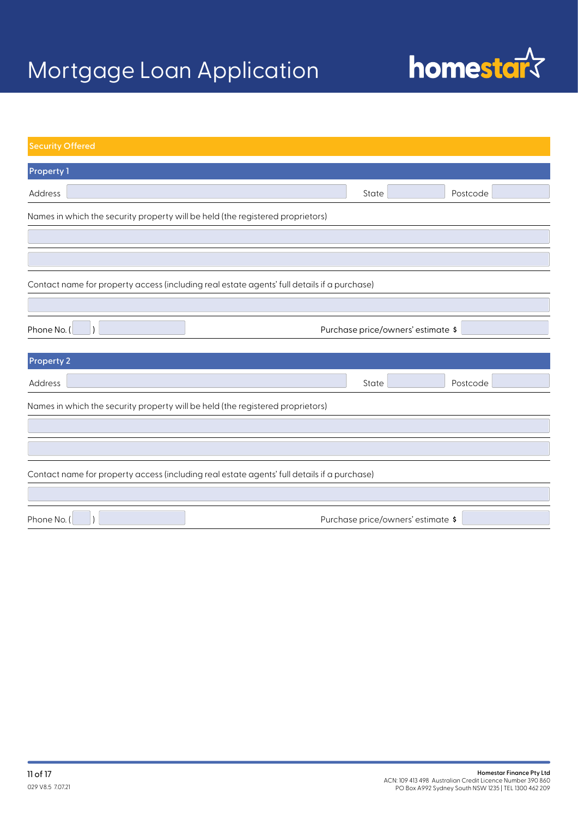

| <b>Security Offered</b>                                                        |                                                                                             |       |                                    |
|--------------------------------------------------------------------------------|---------------------------------------------------------------------------------------------|-------|------------------------------------|
| <b>Property 1</b>                                                              |                                                                                             |       |                                    |
| Address                                                                        |                                                                                             | State | Postcode                           |
| Names in which the security property will be held (the registered proprietors) |                                                                                             |       |                                    |
|                                                                                |                                                                                             |       |                                    |
|                                                                                |                                                                                             |       |                                    |
|                                                                                | Contact name for property access (including real estate agents' full details if a purchase) |       |                                    |
|                                                                                |                                                                                             |       |                                    |
| Phone No. (                                                                    |                                                                                             |       | Purchase price/owners' estimate \$ |
| <b>Property 2</b>                                                              |                                                                                             |       |                                    |
| Address                                                                        |                                                                                             | State | Postcode                           |
| Names in which the security property will be held (the registered proprietors) |                                                                                             |       |                                    |
|                                                                                |                                                                                             |       |                                    |
|                                                                                |                                                                                             |       |                                    |
|                                                                                | Contact name for property access (including real estate agents' full details if a purchase) |       |                                    |
|                                                                                |                                                                                             |       |                                    |
| Phone No. (                                                                    |                                                                                             |       | Purchase price/owners' estimate \$ |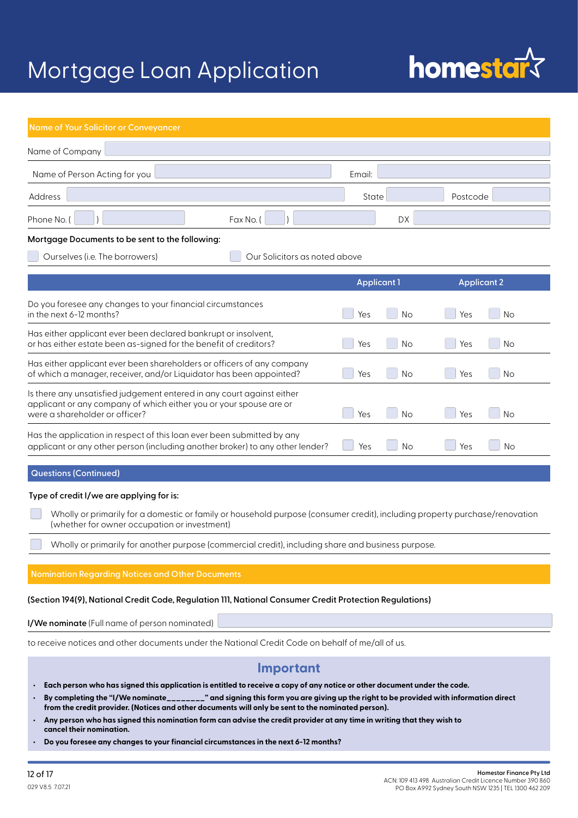# **homestard**

| Name of Your Solicitor or Conveyancer                                                                                                                                          |                    |                    |  |
|--------------------------------------------------------------------------------------------------------------------------------------------------------------------------------|--------------------|--------------------|--|
| Name of Company                                                                                                                                                                |                    |                    |  |
| Name of Person Acting for you                                                                                                                                                  | Email:             |                    |  |
| Address                                                                                                                                                                        | State              | Postcode           |  |
| Phone No. (<br>Fax No. (                                                                                                                                                       | <b>DX</b>          |                    |  |
| Mortgage Documents to be sent to the following:                                                                                                                                |                    |                    |  |
| Ourselves (i.e. The borrowers)<br>Our Solicitors as noted above                                                                                                                |                    |                    |  |
|                                                                                                                                                                                | <b>Applicant 1</b> | <b>Applicant 2</b> |  |
| Do you foresee any changes to your financial circumstances<br>in the next 6-12 months?                                                                                         | Yes<br><b>No</b>   | Yes<br><b>No</b>   |  |
| Has either applicant ever been declared bankrupt or insolvent,<br>or has either estate been as-signed for the benefit of creditors?                                            | No<br>Yes          | Yes<br>No          |  |
| Has either applicant ever been shareholders or officers of any company<br>of which a manager, receiver, and/or Liquidator has been appointed?                                  | <b>No</b><br>Yes   | Yes<br><b>No</b>   |  |
| Is there any unsatisfied judgement entered in any court against either<br>applicant or any company of which either you or your spouse are or<br>were a shareholder or officer? | Yes<br><b>No</b>   | Yes<br><b>No</b>   |  |
| Has the application in respect of this loan ever been submitted by any<br>applicant or any other person (including another broker) to any other lender?                        | Yes<br><b>No</b>   | Yes<br><b>No</b>   |  |
| <b>Questions (Continued)</b>                                                                                                                                                   |                    |                    |  |

### **Type of credit I/we are applying for is:**

 Wholly or primarily for a domestic or family or household purpose (consumer credit), including property purchase/renovation (whether for owner occupation or investment)

Wholly or primarily for another purpose (commercial credit), including share and business purpose.

#### **Nomination Regarding Notices and Other Documents**

#### **(Section 194(9), National Credit Code, Regulation 111, National Consumer Credit Protection Regulations)**

**I/We nominate** (Full name of person nominated)

to receive notices and other documents under the National Credit Code on behalf of me/all of us.

### **Important**

- **• Each person who has signed this application is entitled to receive a copy of any notice or other document under the code.**
- **• By completing the "I/We nominate\_\_\_\_\_\_\_\_" and signing this form you are giving up the right to be provided with information direct from the credit provider. (Notices and other documents will only be sent to the nominated person).**
- **• Any person who has signed this nomination form can advise the credit provider at any time in writing that they wish to cancel their nomination.**
- **• Do you foresee any changes to your financial circumstances in the next 6-12 months?**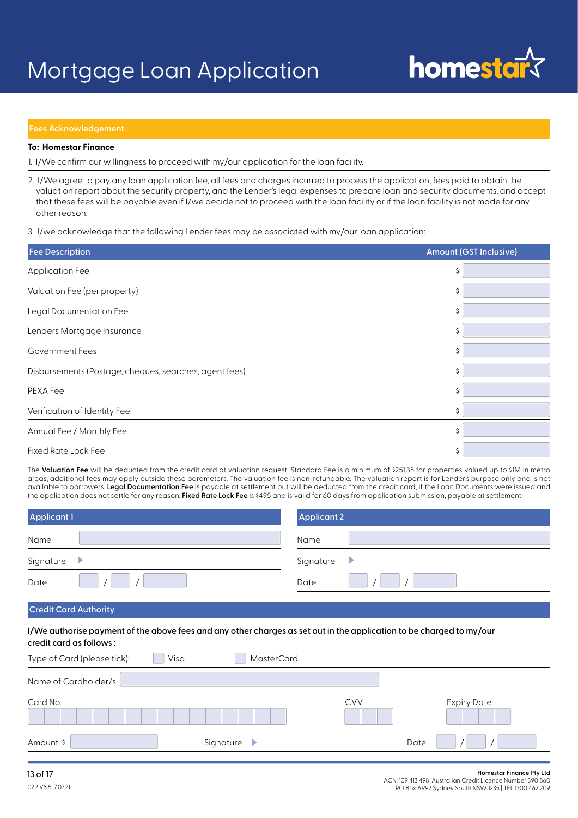

### **Fees Acknowledgement**

### **To: Homestar Finance**

1. I/We confirm our willingness to proceed with my/our application for the loan facility.

2. I/We agree to pay any loan application fee, all fees and charges incurred to process the application, fees paid to obtain the valuation report about the security property, and the Lender's legal expenses to prepare loan and security documents, and accept that these fees will be payable even if I/we decide not to proceed with the loan facility or if the loan facility is not made for any other reason.

3. I/we acknowledge that the following Lender fees may be associated with my/our loan application:

| <b>Fee Description</b>                                 | <b>Amount (GST Inclusive)</b> |
|--------------------------------------------------------|-------------------------------|
| <b>Application Fee</b>                                 |                               |
| Valuation Fee (per property)                           |                               |
| Legal Documentation Fee                                |                               |
| Lenders Mortgage Insurance                             | Ś                             |
| Government Fees                                        |                               |
| Disbursements (Postage, cheques, searches, agent fees) | \$                            |
| PEXA Fee                                               |                               |
| Verification of Identity Fee                           | Ś                             |
| Annual Fee / Monthly Fee                               |                               |
| <b>Fixed Rate Lock Fee</b>                             | Ś                             |

The Valuation Fee will be deducted from the credit card at valuation request. Standard Fee is a minimum of \$251.35 for properties valued up to \$1M in metro areas, additional fees may apply outside these parameters. The valuation fee is non-refundable. The valuation report is for Lender's purpose only and is not available to borrowers. **Legal Documentation Fee** is payable at settlement but will be deducted from the credit card, if the Loan Documents were issued and the application does not settle for any reason. **Fixed Rate Lock Fee** is \$495 and is valid for 60 days from application submission, payable at settlement.

| <b>Applicant 1</b> | <b>Applicant 2</b> |
|--------------------|--------------------|
| Name               | Name               |
| Signature          | Signature<br>▶     |
| Date               | Date               |
|                    |                    |

### **Credit Card Authority**

**I/We authorise payment of the above fees and any other charges as set out in the application to be charged to my/our credit card as follows :**

| Type of Card (please tick): | Visa | <b>MasterCard</b> |            |                    |
|-----------------------------|------|-------------------|------------|--------------------|
| Name of Cardholder/s        |      |                   |            |                    |
| Card No.                    |      |                   | <b>CVV</b> | <b>Expiry Date</b> |
| Amount \$                   |      | Signature<br>₽    |            | Date               |

PO Box A992 Sydney South NSW 1235 | TEL 1300 462 209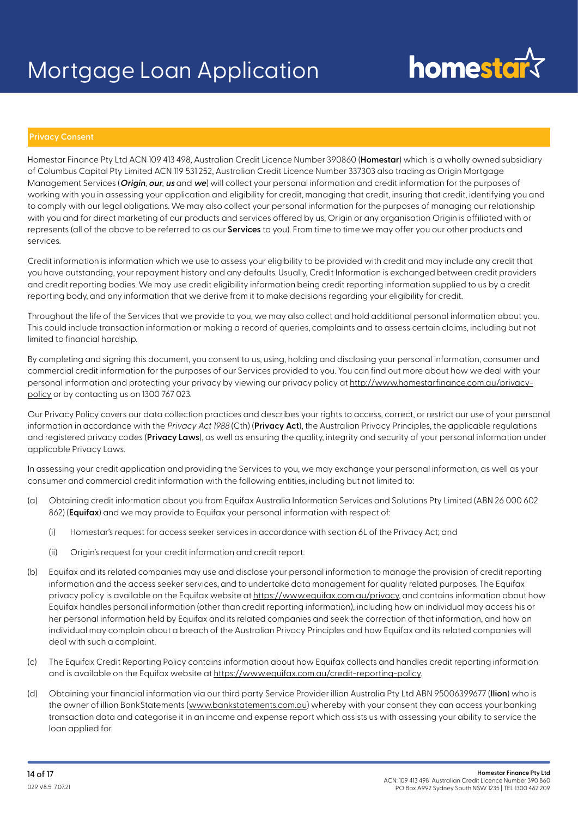# homestal

### **Privacy Consent**

Homestar Finance Pty Ltd ACN 109 413 498, Australian Credit Licence Number 390860 (**Homestar**) which is a wholly owned subsidiary of Columbus Capital Pty Limited ACN 119 531 252, Australian Credit Licence Number 337303 also trading as Origin Mortgage Management Services (**Origin**, **our**, **us** and **we**) will collect your personal information and credit information for the purposes of working with you in assessing your application and eligibility for credit, managing that credit, insuring that credit, identifying you and to comply with our legal obligations. We may also collect your personal information for the purposes of managing our relationship with you and for direct marketing of our products and services offered by us, Origin or any organisation Origin is affiliated with or represents (all of the above to be referred to as our **Services** to you). From time to time we may offer you our other products and services.

Credit information is information which we use to assess your eligibility to be provided with credit and may include any credit that you have outstanding, your repayment history and any defaults. Usually, Credit Information is exchanged between credit providers and credit reporting bodies. We may use credit eligibility information being credit reporting information supplied to us by a credit reporting body, and any information that we derive from it to make decisions regarding your eligibility for credit.

Throughout the life of the Services that we provide to you, we may also collect and hold additional personal information about you. This could include transaction information or making a record of queries, complaints and to assess certain claims, including but not limited to financial hardship.

By completing and signing this document, you consent to us, using, holding and disclosing your personal information, consumer and commercial credit information for the purposes of our Services provided to you. You can find out more about how we deal with your personal information and protecting your privacy by viewing our privacy policy at http://www.homestarfinance.com.au/privacypolicy or by contacting us on 1300 767 023.

Our Privacy Policy covers our data collection practices and describes your rights to access, correct, or restrict our use of your personal information in accordance with the Privacy Act 1988 (Cth) (**Privacy Act**), the Australian Privacy Principles, the applicable regulations and registered privacy codes (**Privacy Laws**), as well as ensuring the quality, integrity and security of your personal information under applicable Privacy Laws.

In assessing your credit application and providing the Services to you, we may exchange your personal information, as well as your consumer and commercial credit information with the following entities, including but not limited to:

- (a) Obtaining credit information about you from Equifax Australia Information Services and Solutions Pty Limited (ABN 26 000 602 862) (**Equifax**) and we may provide to Equifax your personal information with respect of:
	- (i) Homestar's request for access seeker services in accordance with section 6L of the Privacy Act; and
	- (ii) Origin's request for your credit information and credit report.
- (b) Equifax and its related companies may use and disclose your personal information to manage the provision of credit reporting information and the access seeker services, and to undertake data management for quality related purposes. The Equifax privacy policy is available on the Equifax website at https://www.equifax.com.au/privacy, and contains information about how Equifax handles personal information (other than credit reporting information), including how an individual may access his or her personal information held by Equifax and its related companies and seek the correction of that information, and how an individual may complain about a breach of the Australian Privacy Principles and how Equifax and its related companies will deal with such a complaint.
- (c) The Equifax Credit Reporting Policy contains information about how Equifax collects and handles credit reporting information and is available on the Equifax website at https://www.equifax.com.au/credit-reporting-policy.
- (d) Obtaining your financial information via our third party Service Provider illion Australia Pty Ltd ABN 95006399677 (**Ilion**) who is the owner of illion BankStatements (www.bankstatements.com.au) whereby with your consent they can access your banking transaction data and categorise it in an income and expense report which assists us with assessing your ability to service the loan applied for.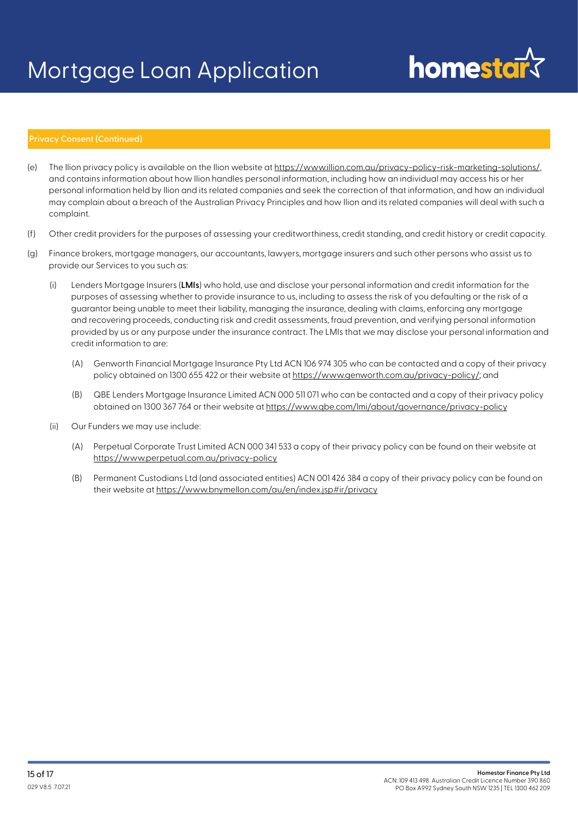# homestars

### **Privacy Consent (Continued)**

- (e) The Ilion privacy policy is available on the Ilion website at https://www.illion.com.au/privacy-policy-risk-marketing-solutions/, and contains information about how Ilion handles personal information, including how an individual may access his or her personal information held by Ilion and its related companies and seek the correction of that information, and how an individual may complain about a breach of the Australian Privacy Principles and how Ilion and its related companies will deal with such a complaint.
- (f) Other credit providers for the purposes of assessing your creditworthiness, credit standing, and credit history or credit capacity.
- (g) Finance brokers, mortgage managers, our accountants, lawyers, mortgage insurers and such other persons who assist us to provide our Services to you such as:
	- (i) Lenders Mortgage Insurers (**LMIs**) who hold, use and disclose your personal information and credit information for the purposes of assessing whether to provide insurance to us, including to assess the risk of you defaulting or the risk of a guarantor being unable to meet their liability, managing the insurance, dealing with claims, enforcing any mortgage and recovering proceeds, conducting risk and credit assessments, fraud prevention, and verifying personal information provided by us or any purpose under the insurance contract. The LMIs that we may disclose your personal information and credit information to are:
		- (A) Genworth Financial Mortgage Insurance Pty Ltd ACN 106 974 305 who can be contacted and a copy of their privacy policy obtained on 1300 655 422 or their website at https://www.genworth.com.au/privacy-policy/; and
		- (B) QBE Lenders Mortgage Insurance Limited ACN 000 511 071 who can be contacted and a copy of their privacy policy obtained on 1300 367 764 or their website at https://www.qbe.com/lmi/about/governance/privacy-policy
	- (ii) Our Funders we may use include:
		- (A) Perpetual Corporate Trust Limited ACN 000 341 533 a copy of their privacy policy can be found on their website at https://www.perpetual.com.au/privacy-policy
		- (B) Permanent Custodians Ltd (and associated entities) ACN 001 426 384 a copy of their privacy policy can be found on their website at https://www.bnymellon.com/au/en/index.jsp#ir/privacy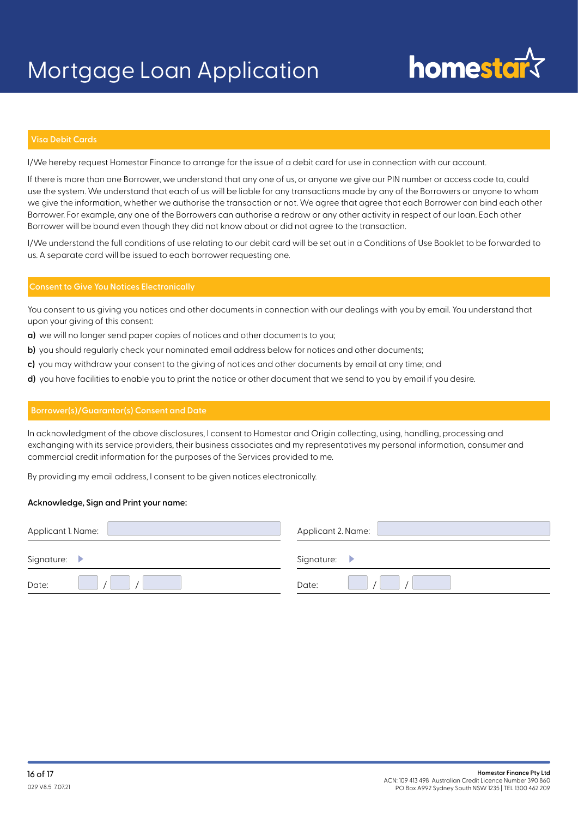## **homestary**

### **Visa Debit Cards**

I/We hereby request Homestar Finance to arrange for the issue of a debit card for use in connection with our account.

If there is more than one Borrower, we understand that any one of us, or anyone we give our PIN number or access code to, could use the system. We understand that each of us will be liable for any transactions made by any of the Borrowers or anyone to whom we give the information, whether we authorise the transaction or not. We agree that agree that each Borrower can bind each other Borrower. For example, any one of the Borrowers can authorise a redraw or any other activity in respect of our loan. Each other Borrower will be bound even though they did not know about or did not agree to the transaction.

I/We understand the full conditions of use relating to our debit card will be set out in a Conditions of Use Booklet to be forwarded to us. A separate card will be issued to each borrower requesting one.

### **Consent to Give You Notices Electronically**

You consent to us giving you notices and other documents in connection with our dealings with you by email. You understand that upon your giving of this consent:

- **a)** we will no longer send paper copies of notices and other documents to you;
- **b)** you should regularly check your nominated email address below for notices and other documents;
- **c)** you may withdraw your consent to the giving of notices and other documents by email at any time; and
- **d)** you have facilities to enable you to print the notice or other document that we send to you by email if you desire.

### **Borrower(s)/Guarantor(s) Consent and Date**

In acknowledgment of the above disclosures, I consent to Homestar and Origin collecting, using, handling, processing and exchanging with its service providers, their business associates and my representatives my personal information, consumer and commercial credit information for the purposes of the Services provided to me.

By providing my email address, I consent to be given notices electronically.

### **Acknowledge, Sign and Print your name:**

| Applicant 1. Name: | Applicant 2. Name: |
|--------------------|--------------------|
| Signature:         | Signature:         |
| Date:              | Date:              |